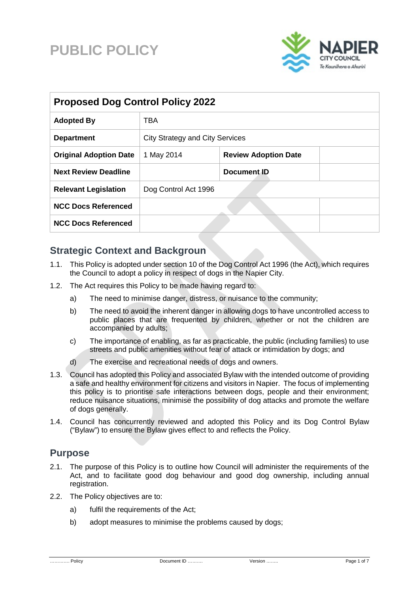# **PUBLIC POLICY**



| <b>Proposed Dog Control Policy 2022</b> |                                        |                             |  |  |  |
|-----------------------------------------|----------------------------------------|-----------------------------|--|--|--|
| <b>Adopted By</b>                       | <b>TBA</b>                             |                             |  |  |  |
| <b>Department</b>                       | <b>City Strategy and City Services</b> |                             |  |  |  |
| <b>Original Adoption Date</b>           | 1 May 2014                             | <b>Review Adoption Date</b> |  |  |  |
| <b>Next Review Deadline</b>             |                                        | Document ID                 |  |  |  |
| <b>Relevant Legislation</b>             | Dog Control Act 1996                   |                             |  |  |  |
| <b>NCC Docs Referenced</b>              |                                        |                             |  |  |  |
| <b>NCC Docs Referenced</b>              |                                        |                             |  |  |  |

#### **Strategic Context and Backgroun**

- 1.1. This Policy is adopted under section 10 of the Dog Control Act 1996 (the Act), which requires the Council to adopt a policy in respect of dogs in the Napier City.
- 1.2. The Act requires this Policy to be made having regard to:
	- a) The need to minimise danger, distress, or nuisance to the community;
	- b) The need to avoid the inherent danger in allowing dogs to have uncontrolled access to public places that are frequented by children, whether or not the children are accompanied by adults;
	- c) The importance of enabling, as far as practicable, the public (including families) to use streets and public amenities without fear of attack or intimidation by dogs; and
	- d) The exercise and recreational needs of dogs and owners.
- 1.3. Council has adopted this Policy and associated Bylaw with the intended outcome of providing a safe and healthy environment for citizens and visitors in Napier. The focus of implementing this policy is to prioritise safe interactions between dogs, people and their environment; reduce nuisance situations, minimise the possibility of dog attacks and promote the welfare of dogs generally.
- 1.4. Council has concurrently reviewed and adopted this Policy and its Dog Control Bylaw ("Bylaw") to ensure the Bylaw gives effect to and reflects the Policy.

#### **Purpose**

- 2.1. The purpose of this Policy is to outline how Council will administer the requirements of the Act, and to facilitate good dog behaviour and good dog ownership, including annual registration.
- 2.2. The Policy objectives are to:
	- a) fulfil the requirements of the Act;
	- b) adopt measures to minimise the problems caused by dogs;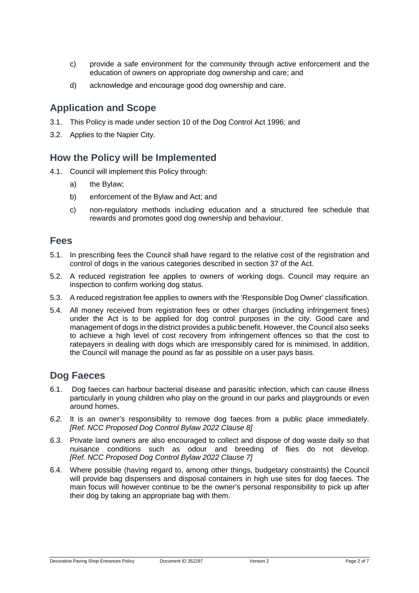- c) provide a safe environment for the community through active enforcement and the education of owners on appropriate dog ownership and care; and
- d) acknowledge and encourage good dog ownership and care.

#### **Application and Scope**

- 3.1. This Policy is made under section 10 of the Dog Control Act 1996; and
- 3.2. Applies to the Napier City.

#### **How the Policy will be Implemented**

- 4.1. Council will implement this Policy through:
	- a) the Bylaw;
	- b) enforcement of the Bylaw and Act; and
	- c) non-regulatory methods including education and a structured fee schedule that rewards and promotes good dog ownership and behaviour.

#### **Fees**

- 5.1. In prescribing fees the Council shall have regard to the relative cost of the registration and control of dogs in the various categories described in section 37 of the Act.
- 5.2. A reduced registration fee applies to owners of working dogs. Council may require an inspection to confirm working dog status.
- 5.3. A reduced registration fee applies to owners with the 'Responsible Dog Owner' classification.
- 5.4. All money received from registration fees or other charges (including infringement fines) under the Act is to be applied for dog control purposes in the city. Good care and management of dogs in the district provides a public benefit. However, the Council also seeks to achieve a high level of cost recovery from infringement offences so that the cost to ratepayers in dealing with dogs which are irresponsibly cared for is minimised. In addition, the Council will manage the pound as far as possible on a user pays basis.

#### **Dog Faeces**

- 6.1. Dog faeces can harbour bacterial disease and parasitic infection, which can cause illness particularly in young children who play on the ground in our parks and playgrounds or even around homes.
- *6.2.* It is an owner's responsibility to remove dog faeces from a public place immediately. *[Ref. NCC Proposed Dog Control Bylaw 2022 Clause 8]*
- *6.3.* Private land owners are also encouraged to collect and dispose of dog waste daily so that nuisance conditions such as odour and breeding of flies do not develop. *[Ref. NCC Proposed Dog Control Bylaw 2022 Clause 7]*
- 6.4. Where possible (having regard to, among other things, budgetary constraints) the Council will provide bag dispensers and disposal containers in high use sites for dog faeces. The main focus will however continue to be the owner's personal responsibility to pick up after their dog by taking an appropriate bag with them.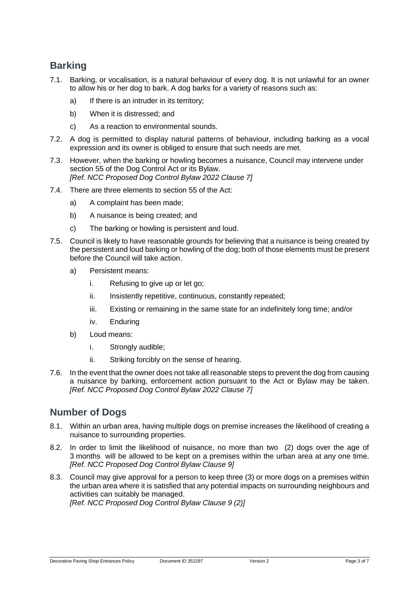#### **Barking**

- 7.1. Barking, or vocalisation, is a natural behaviour of every dog. It is not unlawful for an owner to allow his or her dog to bark. A dog barks for a variety of reasons such as:
	- a) If there is an intruder in its territory;
	- b) When it is distressed; and
	- c) As a reaction to environmental sounds.
- 7.2. A dog is permitted to display natural patterns of behaviour, including barking as a vocal expression and its owner is obliged to ensure that such needs are met.
- 7.3. However, when the barking or howling becomes a nuisance, Council may intervene under section 55 of the Dog Control Act or its Bylaw. *[Ref. NCC Proposed Dog Control Bylaw 2022 Clause 7]*
- 7.4. There are three elements to section 55 of the Act:
	- a) A complaint has been made;
	- b) A nuisance is being created; and
	- c) The barking or howling is persistent and loud.
- 7.5. Council is likely to have reasonable grounds for believing that a nuisance is being created by the persistent and loud barking or howling of the dog; both of those elements must be present before the Council will take action.
	- a) Persistent means:
		- i. Refusing to give up or let go;
		- ii. Insistently repetitive, continuous, constantly repeated;
		- iii. Existing or remaining in the same state for an indefinitely long time; and/or
		- iv. Enduring
	- b) Loud means:
		- i. Strongly audible;
		- ii. Striking forcibly on the sense of hearing.
- 7.6. In the event that the owner does not take all reasonable steps to prevent the dog from causing a nuisance by barking, enforcement action pursuant to the Act or Bylaw may be taken. *[Ref. NCC Proposed Dog Control Bylaw 2022 Clause 7]*

#### **Number of Dogs**

- 8.1. Within an urban area, having multiple dogs on premise increases the likelihood of creating a nuisance to surrounding properties.
- 8.2. In order to limit the likelihood of nuisance, no more than two (2) dogs over the age of 3 months will be allowed to be kept on a premises within the urban area at any one time. *[Ref. NCC Proposed Dog Control Bylaw Clause 9]*
- 8.3. Council may give approval for a person to keep three (3) or more dogs on a premises within the urban area where it is satisfied that any potential impacts on surrounding neighbours and activities can suitably be managed. *[Ref. NCC Proposed Dog Control Bylaw Clause 9 (2)]*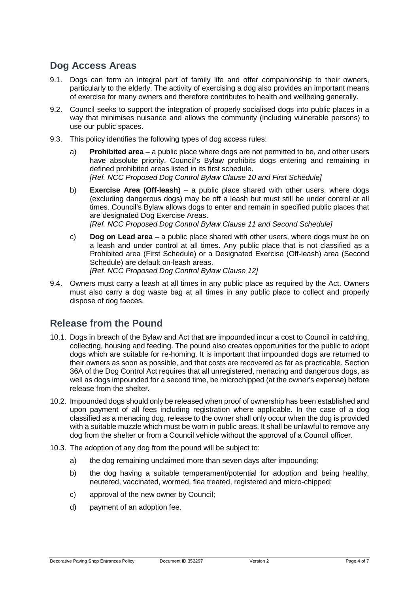#### **Dog Access Areas**

- 9.1. Dogs can form an integral part of family life and offer companionship to their owners, particularly to the elderly. The activity of exercising a dog also provides an important means of exercise for many owners and therefore contributes to health and wellbeing generally.
- 9.2. Council seeks to support the integration of properly socialised dogs into public places in a way that minimises nuisance and allows the community (including vulnerable persons) to use our public spaces.
- 9.3. This policy identifies the following types of dog access rules:
	- a) **Prohibited area** a public place where dogs are not permitted to be, and other users have absolute priority. Council's Bylaw prohibits dogs entering and remaining in defined prohibited areas listed in its first schedule. *[Ref. NCC Proposed Dog Control Bylaw Clause 10 and First Schedule]*
	- b) **Exercise Area (Off-leash)** a public place shared with other users, where dogs (excluding dangerous dogs) may be off a leash but must still be under control at all times. Council's Bylaw allows dogs to enter and remain in specified public places that are designated Dog Exercise Areas. *[Ref. NCC Proposed Dog Control Bylaw Clause 11 and Second Schedule]*
	- c) **Dog on Lead area** a public place shared with other users, where dogs must be on a leash and under control at all times. Any public place that is not classified as a Prohibited area (First Schedule) or a Designated Exercise (Off-leash) area (Second Schedule) are default on-leash areas. *[Ref. NCC Proposed Dog Control Bylaw Clause 12]*
- 9.4. Owners must carry a leash at all times in any public place as required by the Act. Owners must also carry a dog waste bag at all times in any public place to collect and properly dispose of dog faeces.

#### **Release from the Pound**

- 10.1. Dogs in breach of the Bylaw and Act that are impounded incur a cost to Council in catching, collecting, housing and feeding. The pound also creates opportunities for the public to adopt dogs which are suitable for re-homing. It is important that impounded dogs are returned to their owners as soon as possible, and that costs are recovered as far as practicable. Section 36A of the Dog Control Act requires that all unregistered, menacing and dangerous dogs, as well as dogs impounded for a second time, be microchipped (at the owner's expense) before release from the shelter.
- 10.2. Impounded dogs should only be released when proof of ownership has been established and upon payment of all fees including registration where applicable. In the case of a dog classified as a menacing dog, release to the owner shall only occur when the dog is provided with a suitable muzzle which must be worn in public areas. It shall be unlawful to remove any dog from the shelter or from a Council vehicle without the approval of a Council officer.
- 10.3. The adoption of any dog from the pound will be subject to:
	- a) the dog remaining unclaimed more than seven days after impounding;
	- b) the dog having a suitable temperament/potential for adoption and being healthy, neutered, vaccinated, wormed, flea treated, registered and micro-chipped;
	- c) approval of the new owner by Council;
	- d) payment of an adoption fee.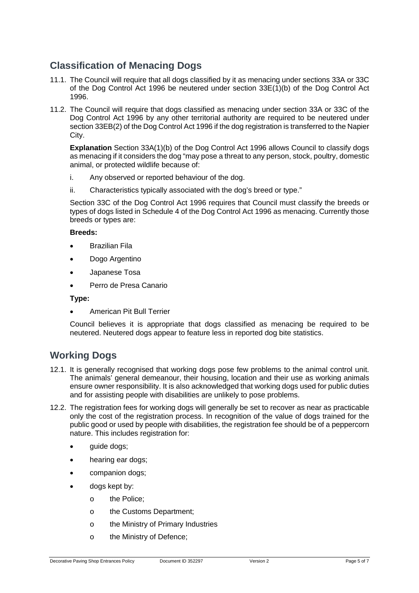### **Classification of Menacing Dogs**

- 11.1. The Council will require that all dogs classified by it as menacing under sections 33A or 33C of the Dog Control Act 1996 be neutered under section 33E(1)(b) of the Dog Control Act 1996.
- 11.2. The Council will require that dogs classified as menacing under section 33A or 33C of the Dog Control Act 1996 by any other territorial authority are required to be neutered under section 33EB(2) of the Dog Control Act 1996 if the dog registration is transferred to the Napier City.

**Explanation** Section 33A(1)(b) of the Dog Control Act 1996 allows Council to classify dogs as menacing if it considers the dog "may pose a threat to any person, stock, poultry, domestic animal, or protected wildlife because of:

- i. Any observed or reported behaviour of the dog.
- ii. Characteristics typically associated with the dog's breed or type."

Section 33C of the Dog Control Act 1996 requires that Council must classify the breeds or types of dogs listed in Schedule 4 of the Dog Control Act 1996 as menacing. Currently those breeds or types are:

#### **Breeds:**

- Brazilian Fila
- Dogo Argentino
- Japanese Tosa
- Perro de Presa Canario

**Type:**

• American Pit Bull Terrier

Council believes it is appropriate that dogs classified as menacing be required to be neutered. Neutered dogs appear to feature less in reported dog bite statistics.

#### **Working Dogs**

- 12.1. It is generally recognised that working dogs pose few problems to the animal control unit. The animals' general demeanour, their housing, location and their use as working animals ensure owner responsibility. It is also acknowledged that working dogs used for public duties and for assisting people with disabilities are unlikely to pose problems.
- 12.2. The registration fees for working dogs will generally be set to recover as near as practicable only the cost of the registration process. In recognition of the value of dogs trained for the public good or used by people with disabilities, the registration fee should be of a peppercorn nature. This includes registration for:
	- quide dogs;
	- hearing ear dogs;
	- companion dogs;
	- dogs kept by:
		- o the Police;
		- o the Customs Department;
		- o the Ministry of Primary Industries
		- o the Ministry of Defence;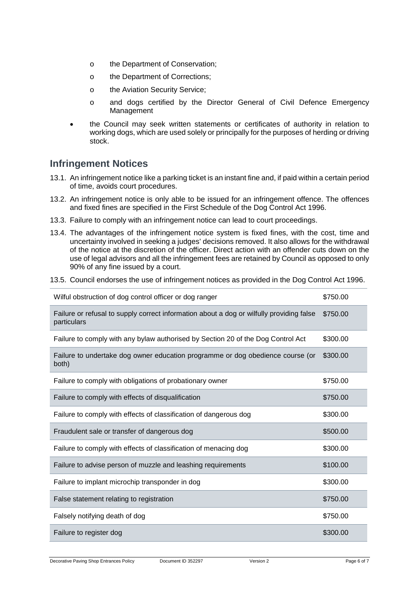- o the Department of Conservation;
- o the Department of Corrections;
- o the Aviation Security Service;
- o and dogs certified by the Director General of Civil Defence Emergency Management
- the Council may seek written statements or certificates of authority in relation to working dogs, which are used solely or principally for the purposes of herding or driving stock.

#### **Infringement Notices**

- 13.1. An infringement notice like a parking ticket is an instant fine and, if paid within a certain period of time, avoids court procedures.
- 13.2. An infringement notice is only able to be issued for an infringement offence. The offences and fixed fines are specified in the First Schedule of the Dog Control Act 1996.
- 13.3. Failure to comply with an infringement notice can lead to court proceedings.
- 13.4. The advantages of the infringement notice system is fixed fines, with the cost, time and uncertainty involved in seeking a judges' decisions removed. It also allows for the withdrawal of the notice at the discretion of the officer. Direct action with an offender cuts down on the use of legal advisors and all the infringement fees are retained by Council as opposed to only 90% of any fine issued by a court.
- 13.5. Council endorses the use of infringement notices as provided in the Dog Control Act 1996.

| Wilful obstruction of dog control officer or dog ranger                                                 | \$750.00 |
|---------------------------------------------------------------------------------------------------------|----------|
| Failure or refusal to supply correct information about a dog or wilfully providing false<br>particulars | \$750.00 |
| Failure to comply with any bylaw authorised by Section 20 of the Dog Control Act                        | \$300.00 |
| Failure to undertake dog owner education programme or dog obedience course (or<br>both)                 | \$300.00 |
| Failure to comply with obligations of probationary owner                                                | \$750.00 |
| Failure to comply with effects of disqualification                                                      | \$750.00 |
| Failure to comply with effects of classification of dangerous dog                                       | \$300.00 |
| Fraudulent sale or transfer of dangerous dog                                                            | \$500.00 |
| Failure to comply with effects of classification of menacing dog                                        | \$300.00 |
| Failure to advise person of muzzle and leashing requirements                                            | \$100.00 |
| Failure to implant microchip transponder in dog                                                         | \$300.00 |
| False statement relating to registration                                                                | \$750.00 |
| Falsely notifying death of dog                                                                          | \$750.00 |
| Failure to register dog                                                                                 | \$300.00 |